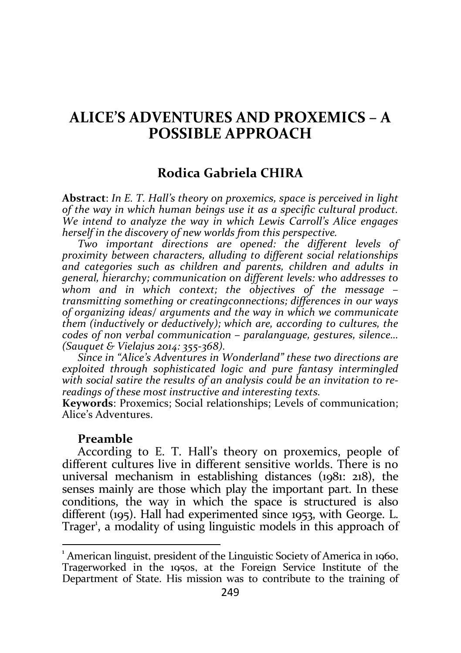# ALICE'S ADVENTURES AND PROXEMICS – A POSSIBLE APPROACH

## Rodica Gabriela CHIRA

Abstract: In E. T. Hall's theory on proxemics, space is perceived in light of the way in which human beings use it as a specific cultural product. We intend to analyze the way in which Lewis Carroll's Alice engages herself in the discovery of new worlds from this perspective.

Two important directions are opened: the different levels of proximity between characters, alluding to different social relationships and categories such as children and parents, children and adults in general, hierarchy; communication on different levels: who addresses to whom and in which context; the objectives of the message – transmitting something or creatingconnections; differences in our ways of organizing ideas/ arguments and the way in which we communicate them (inductively or deductively); which are, according to cultures, the codes of non verbal communication – paralanguage, gestures, silence… (Sauquet & Vielajus 2014: 355-368).

Since in "Alice's Adventures in Wonderland" these two directions are exploited through sophisticated logic and pure fantasy intermingled with social satire the results of an analysis could be an invitation to rereadings of these most instructive and interesting texts.

Keywords: Proxemics; Social relationships; Levels of communication; Alice's Adventures.

#### Preamble

-

According to E. T. Hall's theory on proxemics, people of different cultures live in different sensitive worlds. There is no universal mechanism in establishing distances (1981: 218), the senses mainly are those which play the important part. In these conditions, the way in which the space is structured is also different (195). Hall had experimented since 1953, with George. L. Trager<sup>1</sup>, a modality of using linguistic models in this approach of

<sup>&</sup>lt;sup>1</sup> American linguist, president of the Linguistic Society of America in 1960, Tragerworked in the 1950s, at the Foreign Service Institute of the Department of State. His mission was to contribute to the training of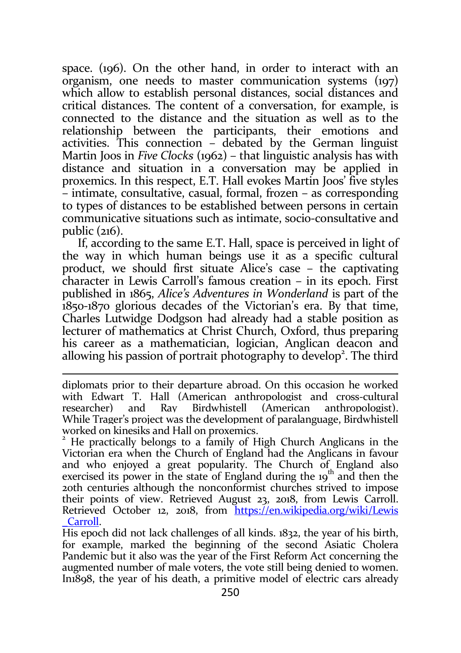space. (196). On the other hand, in order to interact with an organism, one needs to master communication systems (197) which allow to establish personal distances, social distances and critical distances. The content of a conversation, for example, is connected to the distance and the situation as well as to the relationship between the participants, their emotions and activities. This connection – debated by the German linguist Martin Joos in Five Clocks (1962) – that linguistic analysis has with distance and situation in a conversation may be applied in proxemics. In this respect, E.T. Hall evokes Martin Joos' five styles – intimate, consultative, casual, formal, frozen – as corresponding to types of distances to be established between persons in certain communicative situations such as intimate, socio-consultative and public (216).

If, according to the same E.T. Hall, space is perceived in light of the way in which human beings use it as a specific cultural product, we should first situate Alice's case – the captivating character in Lewis Carroll's famous creation – in its epoch. First published in 1865, Alice's Adventures in Wonderland is part of the 1850-1870 glorious decades of the Victorian's era. By that time, Charles Lutwidge Dodgson had already had a stable position as lecturer of mathematics at Christ Church, Oxford, thus preparing his career as a mathematician, logician, Anglican deacon and allowing his passion of portrait photography to develop<sup>2</sup>. The third

diplomats prior to their departure abroad. On this occasion he worked with Edwart T. Hall (American anthropologist and cross-cultural researcher) and Ray Birdwhistell (American anthropologist). While Trager's project was the development of paralanguage, Birdwhistell worked on kinesiks and Hall on proxemics.

 $2$  He practically belongs to a family of High Church Anglicans in the Victorian era when the Church of England had the Anglicans in favour and who enjoyed a great popularity. The Church of England also exercised its power in the state of England during the  $19<sup>th</sup>$  and then the 20th centuries although the nonconformist churches strived to impose their points of view. Retrieved August 23, 2018, from Lewis Carroll. Retrieved October 12, 2018, from https://en.wikipedia.org/wiki/Lewis \_Carroll.

His epoch did not lack challenges of all kinds. 1832, the year of his birth, for example, marked the beginning of the second Asiatic Cholera Pandemic but it also was the year of the First Reform Act concerning the augmented number of male voters, the vote still being denied to women. In1898, the year of his death, a primitive model of electric cars already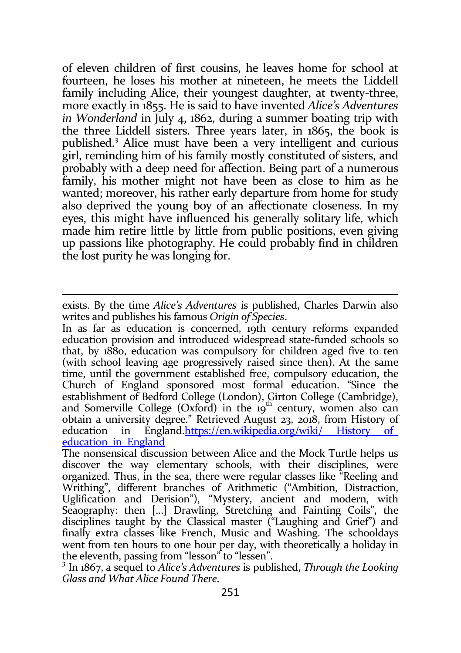of eleven children of first cousins, he leaves home for school at fourteen, he loses his mother at nineteen, he meets the Liddell family including Alice, their youngest daughter, at twenty-three, more exactly in 1855. He is said to have invented Alice's Adventures in Wonderland in July 4, 1862, during a summer boating trip with the three Liddell sisters. Three years later, in 1865, the book is published.<sup>3</sup> Alice must have been a very intelligent and curious girl, reminding him of his family mostly constituted of sisters, and probably with a deep need for affection. Being part of a numerous family, his mother might not have been as close to him as he wanted; moreover, his rather early departure from home for study also deprived the young boy of an affectionate closeness. In my eyes, this might have influenced his generally solitary life, which made him retire little by little from public positions, even giving up passions like photography. He could probably find in children the lost purity he was longing for.

exists. By the time Alice's Adventures is published, Charles Darwin also writes and publishes his famous Origin of Species.

In as far as education is concerned, 19th century reforms expanded education provision and introduced widespread state-funded schools so that, by 1880, education was compulsory for children aged five to ten (with school leaving age progressively raised since then). At the same time, until the government established free, compulsory education, the Church of England sponsored most formal education. "Since the establishment of Bedford College (London), Girton College (Cambridge), and Somerville College (Oxford) in the  $19<sup>th</sup>$  century, women also can obtain a university degree." Retrieved August 23, 2018, from History of education in England.https://en.wikipedia.org/wiki/ History of\_ education in England

The nonsensical discussion between Alice and the Mock Turtle helps us discover the way elementary schools, with their disciplines, were organized. Thus, in the sea, there were regular classes like "Reeling and Writhing", different branches of Arithmetic ("Ambition, Distraction, Uglification and Derision"), "Mystery, ancient and modern, with Seaography: then […] Drawling, Stretching and Fainting Coils", the disciplines taught by the Classical master ("Laughing and Grief") and finally extra classes like French, Music and Washing. The schooldays went from ten hours to one hour per day, with theoretically a holiday in the eleventh, passing from "lesson" to "lessen".

<sup>&</sup>lt;sup>3</sup> In 1867, a sequel to Alice's Adventures is published, Through the Looking Glass and What Alice Found There.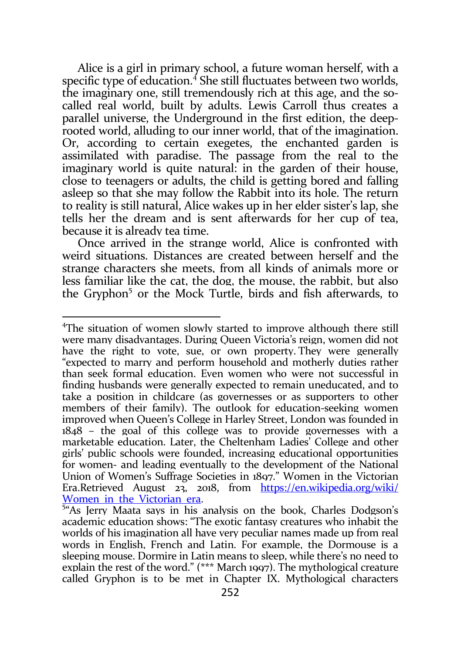Alice is a girl in primary school, a future woman herself, with a specific type of education.<sup>4</sup> She still fluctuates between two worlds, the imaginary one, still tremendously rich at this age, and the socalled real world, built by adults. Lewis Carroll thus creates a parallel universe, the Underground in the first edition, the deeprooted world, alluding to our inner world, that of the imagination. Or, according to certain exegetes, the enchanted garden is assimilated with paradise. The passage from the real to the imaginary world is quite natural: in the garden of their house, close to teenagers or adults, the child is getting bored and falling asleep so that she may follow the Rabbit into its hole. The return to reality is still natural, Alice wakes up in her elder sister's lap, she tells her the dream and is sent afterwards for her cup of tea, because it is already tea time.

Once arrived in the strange world, Alice is confronted with weird situations. Distances are created between herself and the strange characters she meets, from all kinds of animals more or less familiar like the cat, the dog, the mouse, the rabbit, but also the Gryphon<sup>5</sup> or the Mock Turtle, birds and fish afterwards, to

<sup>4</sup>The situation of women slowly started to improve although there still were many disadvantages. During Queen Victoria's reign, women did not have the right to vote, sue, or own property. They were generally "expected to marry and perform household and motherly duties rather than seek formal education. Even women who were not successful in finding husbands were generally expected to remain uneducated, and to take a position in childcare (as governesses or as supporters to other members of their family). The outlook for education-seeking women improved when Queen's College in Harley Street, London was founded in 1848 – the goal of this college was to provide governesses with a marketable education. Later, the Cheltenham Ladies' College and other girls' public schools were founded, increasing educational opportunities for women- and leading eventually to the development of the National Union of Women's Suffrage Societies in 1897." Women in the Victorian Era.Retrieved August 23, 2018, from https://en.wikipedia.org/wiki/ Women in the Victorian era.

<sup>&</sup>lt;sup>5</sup>"As Jerry Maata says in his analysis on the book, Charles Dodgson's academic education shows: "The exotic fantasy creatures who inhabit the worlds of his imagination all have very peculiar names made up from real words in English, French and Latin. For example, the Dormouse is a sleeping mouse. Dormire in Latin means to sleep, while there's no need to explain the rest of the word." (\*\*\* March 1997). The mythological creature called Gryphon is to be met in Chapter IX. Mythological characters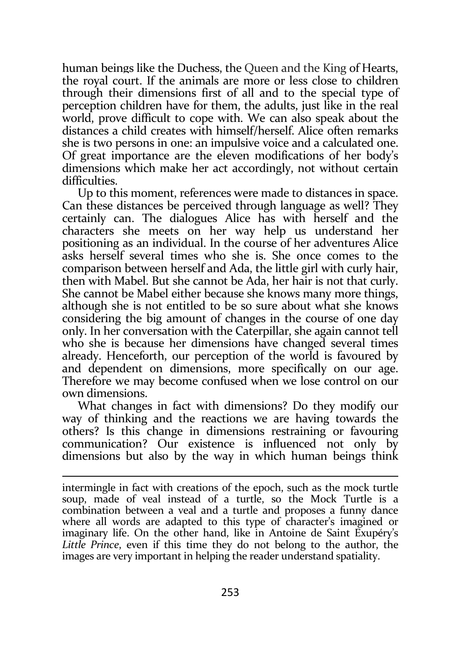human beings like the Duchess, the Queen and the King of Hearts, the royal court. If the animals are more or less close to children through their dimensions first of all and to the special type of perception children have for them, the adults, just like in the real world, prove difficult to cope with. We can also speak about the distances a child creates with himself/herself. Alice often remarks she is two persons in one: an impulsive voice and a calculated one. Of great importance are the eleven modifications of her body's dimensions which make her act accordingly, not without certain difficulties.

Up to this moment, references were made to distances in space. Can these distances be perceived through language as well? They certainly can. The dialogues Alice has with herself and the characters she meets on her way help us understand her positioning as an individual. In the course of her adventures Alice asks herself several times who she is. She once comes to the comparison between herself and Ada, the little girl with curly hair, then with Mabel. But she cannot be Ada, her hair is not that curly. She cannot be Mabel either because she knows many more things, although she is not entitled to be so sure about what she knows considering the big amount of changes in the course of one day only. In her conversation with the Caterpillar, she again cannot tell who she is because her dimensions have changed several times already. Henceforth, our perception of the world is favoured by and dependent on dimensions, more specifically on our age. Therefore we may become confused when we lose control on our own dimensions.

What changes in fact with dimensions? Do they modify our way of thinking and the reactions we are having towards the others? Is this change in dimensions restraining or favouring communication? Our existence is influenced not only by dimensions but also by the way in which human beings think

intermingle in fact with creations of the epoch, such as the mock turtle soup, made of veal instead of a turtle, so the Mock Turtle is a combination between a veal and a turtle and proposes a funny dance where all words are adapted to this type of character's imagined or imaginary life. On the other hand, like in Antoine de Saint Exupéry's Little Prince, even if this time they do not belong to the author, the images are very important in helping the reader understand spatiality.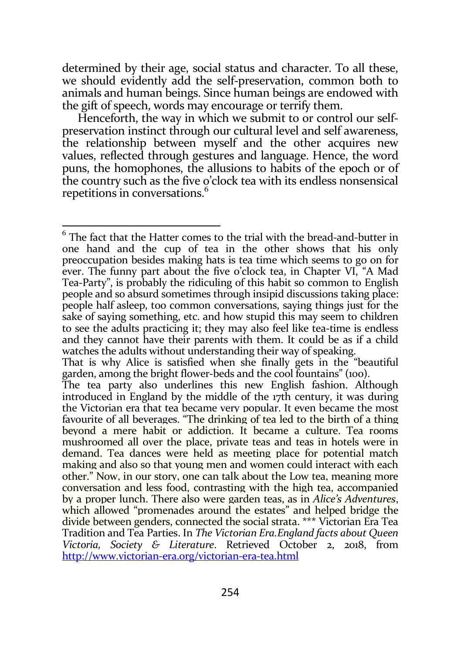determined by their age, social status and character. To all these, we should evidently add the self-preservation, common both to animals and human beings. Since human beings are endowed with the gift of speech, words may encourage or terrify them.

Henceforth, the way in which we submit to or control our selfpreservation instinct through our cultural level and self awareness, the relationship between myself and the other acquires new values, reflected through gestures and language. Hence, the word puns, the homophones, the allusions to habits of the epoch or of the country such as the five o'clock tea with its endless nonsensical repetitions in conversations.<sup>6</sup>

The fact that the Hatter comes to the trial with the bread-and-butter in one hand and the cup of tea in the other shows that his only preoccupation besides making hats is tea time which seems to go on for ever. The funny part about the five o'clock tea, in Chapter VI, "A Mad Tea-Party", is probably the ridiculing of this habit so common to English people and so absurd sometimes through insipid discussions taking place: people half asleep, too common conversations, saying things just for the sake of saying something, etc. and how stupid this may seem to children to see the adults practicing it; they may also feel like tea-time is endless and they cannot have their parents with them. It could be as if a child watches the adults without understanding their way of speaking.

That is why Alice is satisfied when she finally gets in the "beautiful garden, among the bright flower-beds and the cool fountains" (100).

The tea party also underlines this new English fashion. Although introduced in England by the middle of the 17th century, it was during the Victorian era that tea became very popular. It even became the most favourite of all beverages. "The drinking of tea led to the birth of a thing beyond a mere habit or addiction. It became a culture. Tea rooms mushroomed all over the place, private teas and teas in hotels were in demand. Tea dances were held as meeting place for potential match making and also so that young men and women could interact with each other." Now, in our story, one can talk about the Low tea, meaning more conversation and less food, contrasting with the high tea, accompanied by a proper lunch. There also were garden teas, as in Alice's Adventures, which allowed "promenades around the estates" and helped bridge the divide between genders, connected the social strata. \*\*\* Victorian Era Tea Tradition and Tea Parties. In The Victorian Era.England facts about Queen Victoria, Society & Literature. Retrieved October 2, 2018, from http://www.victorian-era.org/victorian-era-tea.html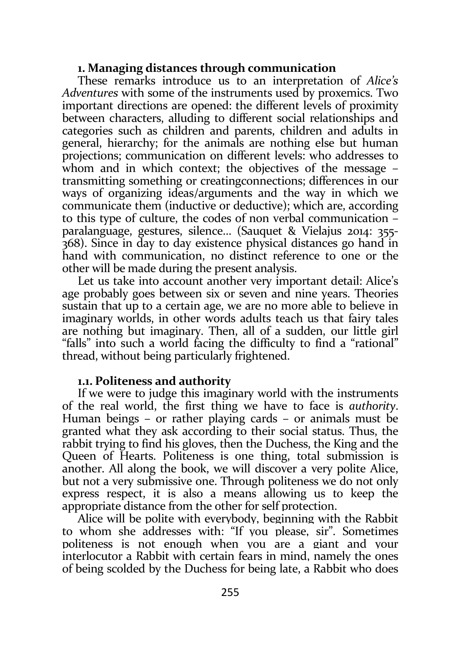### 1. Managing distances through communication

These remarks introduce us to an interpretation of Alice's Adventures with some of the instruments used by proxemics. Two important directions are opened: the different levels of proximity between characters, alluding to different social relationships and categories such as children and parents, children and adults in general, hierarchy; for the animals are nothing else but human projections; communication on different levels: who addresses to whom and in which context; the objectives of the message – transmitting something or creatingconnections; differences in our ways of organizing ideas/arguments and the way in which we communicate them (inductive or deductive); which are, according to this type of culture, the codes of non verbal communication – paralanguage, gestures, silence… (Sauquet & Vielajus 2014: 355- 368). Since in day to day existence physical distances go hand in hand with communication, no distinct reference to one or the other will be made during the present analysis.

Let us take into account another very important detail: Alice's age probably goes between six or seven and nine years. Theories sustain that up to a certain age, we are no more able to believe in imaginary worlds, in other words adults teach us that fairy tales are nothing but imaginary. Then, all of a sudden, our little girl "falls" into such a world facing the difficulty to find a "rational" thread, without being particularly frightened.

#### 1.1. Politeness and authority

If we were to judge this imaginary world with the instruments of the real world, the first thing we have to face is authority. Human beings – or rather playing cards – or animals must be granted what they ask according to their social status. Thus, the rabbit trying to find his gloves, then the Duchess, the King and the Queen of Hearts. Politeness is one thing, total submission is another. All along the book, we will discover a very polite Alice, but not a very submissive one. Through politeness we do not only express respect, it is also a means allowing us to keep the appropriate distance from the other for self protection.

Alice will be polite with everybody, beginning with the Rabbit to whom she addresses with: "If you please, sir". Sometimes politeness is not enough when you are a giant and your interlocutor a Rabbit with certain fears in mind, namely the ones of being scolded by the Duchess for being late, a Rabbit who does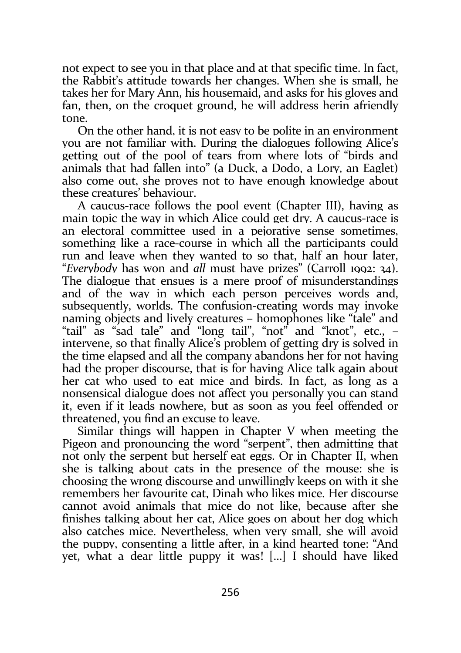not expect to see you in that place and at that specific time. In fact, the Rabbit's attitude towards her changes. When she is small, he takes her for Mary Ann, his housemaid, and asks for his gloves and fan, then, on the croquet ground, he will address herin afriendly tone.

On the other hand, it is not easy to be polite in an environment you are not familiar with. During the dialogues following Alice's getting out of the pool of tears from where lots of "birds and animals that had fallen into" (a Duck, a Dodo, a Lory, an Eaglet) also come out, she proves not to have enough knowledge about these creatures' behaviour.

A caucus-race follows the pool event (Chapter III), having as main topic the way in which Alice could get dry. A caucus-race is an electoral committee used in a pejorative sense sometimes. something like a race-course in which all the participants could run and leave when they wanted to so that, half an hour later, "Everybody has won and all must have prizes" (Carroll 1992: 34). The dialogue that ensues is a mere proof of misunderstandings and of the way in which each person perceives words and, subsequently, worlds. The confusion-creating words may invoke naming objects and lively creatures – homophones like "tale" and "tail" as "sad tale" and "long tail", "not" and "knot", etc., – intervene, so that finally Alice's problem of getting dry is solved in the time elapsed and all the company abandons her for not having had the proper discourse, that is for having Alice talk again about her cat who used to eat mice and birds. In fact, as long as a nonsensical dialogue does not affect you personally you can stand it, even if it leads nowhere, but as soon as you feel offended or threatened, you find an excuse to leave.

Similar things will happen in Chapter V when meeting the Pigeon and pronouncing the word "serpent", then admitting that not only the serpent but herself eat eggs. Or in Chapter II, when she is talking about cats in the presence of the mouse: she is choosing the wrong discourse and unwillingly keeps on with it she remembers her favourite cat, Dinah who likes mice. Her discourse cannot avoid animals that mice do not like, because after she finishes talking about her cat, Alice goes on about her dog which also catches mice. Nevertheless, when very small, she will avoid the puppy, consenting a little after, in a kind hearted tone: "And yet, what a dear little puppy it was! […] I should have liked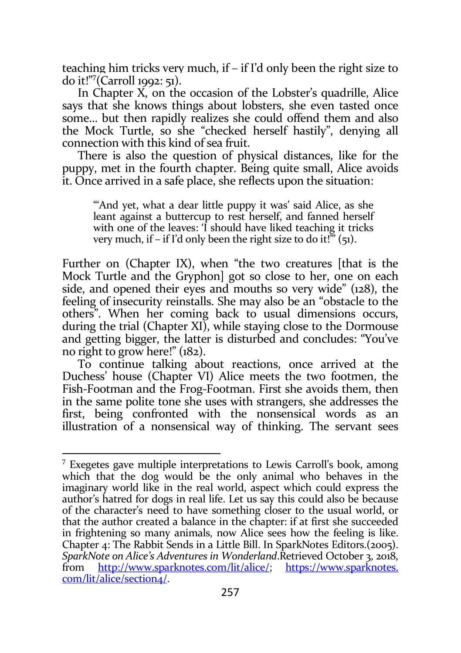teaching him tricks very much, if – if I'd only been the right size to do it!"<sup>7</sup> (Carroll 1992: 51).

In Chapter X, on the occasion of the Lobster's quadrille, Alice says that she knows things about lobsters, she even tasted once some… but then rapidly realizes she could offend them and also the Mock Turtle, so she "checked herself hastily", denying all connection with this kind of sea fruit.

There is also the question of physical distances, like for the puppy, met in the fourth chapter. Being quite small, Alice avoids it. Once arrived in a safe place, she reflects upon the situation:

"And yet, what a dear little puppy it was' said Alice, as she leant against a buttercup to rest herself, and fanned herself with one of the leaves: 'I should have liked teaching it tricks very much, if  $-$  if I'd only been the right size to do it!"  $(51)$ .

Further on (Chapter IX), when "the two creatures [that is the Mock Turtle and the Gryphon] got so close to her, one on each side, and opened their eyes and mouths so very wide" (128), the feeling of insecurity reinstalls. She may also be an "obstacle to the others". When her coming back to usual dimensions occurs, during the trial (Chapter XI), while staying close to the Dormouse and getting bigger, the latter is disturbed and concludes: "You've no right to grow here!" (182).

To continue talking about reactions, once arrived at the Duchess' house (Chapter VI) Alice meets the two footmen, the Fish-Footman and the Frog-Footman. First she avoids them, then in the same polite tone she uses with strangers, she addresses the first, being confronted with the nonsensical words as an illustration of a nonsensical way of thinking. The servant sees

<sup>&</sup>lt;sup>7</sup> Exegetes gave multiple interpretations to Lewis Carroll's book, among which that the dog would be the only animal who behaves in the imaginary world like in the real world, aspect which could express the author's hatred for dogs in real life. Let us say this could also be because of the character's need to have something closer to the usual world, or that the author created a balance in the chapter: if at first she succeeded in frightening so many animals, now Alice sees how the feeling is like. Chapter 4: The Rabbit Sends in a Little Bill. In SparkNotes Editors.(2005). SparkNote on Alice's Adventures in Wonderland.Retrieved October 3, 2018, from http://www.sparknotes.com/lit/alice/; https://www.sparknotes. com/lit/alice/section4/.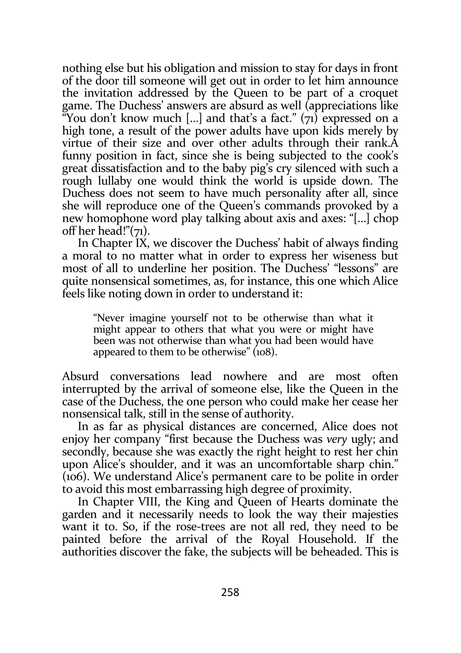nothing else but his obligation and mission to stay for days in front of the door till someone will get out in order to let him announce the invitation addressed by the Queen to be part of a croquet game. The Duchess' answers are absurd as well (appreciations like "You don't know much [...] and that's a fact."  $(71)$  expressed on a high tone, a result of the power adults have upon kids merely by virtue of their size and over other adults through their rank.A funny position in fact, since she is being subjected to the cook's great dissatisfaction and to the baby pig's cry silenced with such a rough lullaby one would think the world is upside down. The Duchess does not seem to have much personality after all, since she will reproduce one of the Queen's commands provoked by a new homophone word play talking about axis and axes: "[…] chop off her head!"(71).

In Chapter IX, we discover the Duchess' habit of always finding a moral to no matter what in order to express her wiseness but most of all to underline her position. The Duchess' "lessons" are quite nonsensical sometimes, as, for instance, this one which Alice feels like noting down in order to understand it:

"Never imagine yourself not to be otherwise than what it might appear to others that what you were or might have been was not otherwise than what you had been would have appeared to them to be otherwise" (108).

Absurd conversations lead nowhere and are most often interrupted by the arrival of someone else, like the Queen in the case of the Duchess, the one person who could make her cease her nonsensical talk, still in the sense of authority.

In as far as physical distances are concerned, Alice does not enjoy her company "first because the Duchess was very ugly; and secondly, because she was exactly the right height to rest her chin upon Alice's shoulder, and it was an uncomfortable sharp chin." (106). We understand Alice's permanent care to be polite in order to avoid this most embarrassing high degree of proximity.

In Chapter VIII, the King and Queen of Hearts dominate the garden and it necessarily needs to look the way their majesties want it to. So, if the rose-trees are not all red, they need to be painted before the arrival of the Royal Household. If the authorities discover the fake, the subjects will be beheaded. This is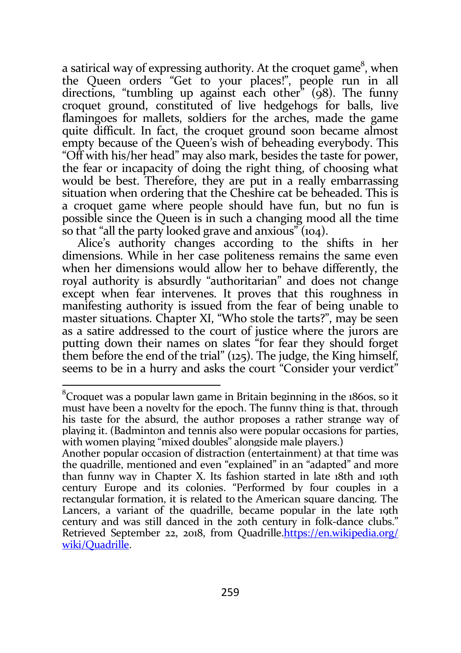a satirical way of expressing authority. At the croquet game<sup>8</sup>, when the Queen orders "Get to your places!", people run in all directions, "tumbling up against each other"  $(q8)$ . The funny croquet ground, constituted of live hedgehogs for balls, live flamingoes for mallets, soldiers for the arches, made the game quite difficult. In fact, the croquet ground soon became almost empty because of the Queen's wish of beheading everybody. This "Off with his/her head" may also mark, besides the taste for power, the fear or incapacity of doing the right thing, of choosing what would be best. Therefore, they are put in a really embarrassing situation when ordering that the Cheshire cat be beheaded. This is a croquet game where people should have fun, but no fun is possible since the Queen is in such a changing mood all the time so that "all the party looked grave and anxious" (104).

Alice's authority changes according to the shifts in her dimensions. While in her case politeness remains the same even when her dimensions would allow her to behave differently, the royal authority is absurdly "authoritarian" and does not change except when fear intervenes. It proves that this roughness in manifesting authority is issued from the fear of being unable to master situations. Chapter XI, "Who stole the tarts?", may be seen as a satire addressed to the court of justice where the jurors are putting down their names on slates "for fear they should forget them before the end of the trial" (125). The judge, the King himself, seems to be in a hurry and asks the court "Consider your verdict"

 $\overline{a}$ 

<sup>&</sup>lt;sup>8</sup>Croquet was a popular lawn game in Britain beginning in the 1860s, so it must have been a novelty for the epoch. The funny thing is that, through his taste for the absurd, the author proposes a rather strange way of playing it. (Badminton and tennis also were popular occasions for parties, with women playing "mixed doubles" alongside male players.)

Another popular occasion of distraction (entertainment) at that time was the quadrille, mentioned and even "explained" in an "adapted" and more than funny way in Chapter X. Its fashion started in late 18th and 19th century Europe and its colonies. "Performed by four couples in a rectangular formation, it is related to the American square dancing. The Lancers, a variant of the quadrille, became popular in the late 19th century and was still danced in the 20th century in folk-dance clubs." Retrieved September 22, 2018, from Quadrille.https://en.wikipedia.org/ wiki/Quadrille.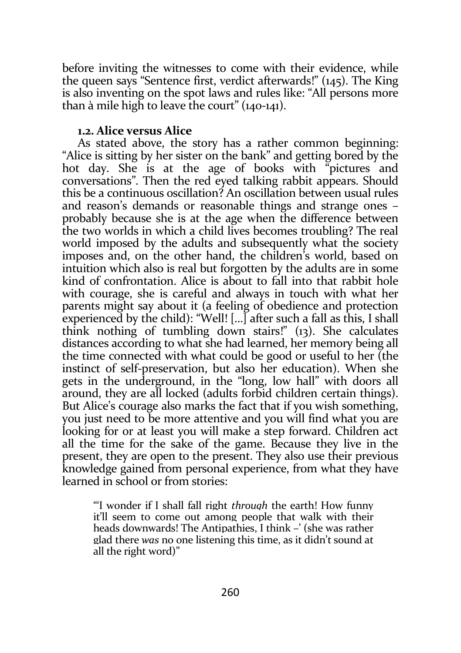before inviting the witnesses to come with their evidence, while the queen says "Sentence first, verdict afterwards!" (145). The King is also inventing on the spot laws and rules like: "All persons more than à mile high to leave the court" (140-141).

#### 1.2. Alice versus Alice

As stated above, the story has a rather common beginning: "Alice is sitting by her sister on the bank" and getting bored by the hot day. She is at the age of books with "pictures and conversations". Then the red eyed talking rabbit appears. Should this be a continuous oscillation? An oscillation between usual rules and reason's demands or reasonable things and strange ones – probably because she is at the age when the difference between the two worlds in which a child lives becomes troubling? The real world imposed by the adults and subsequently what the society imposes and, on the other hand, the children's world, based on intuition which also is real but forgotten by the adults are in some kind of confrontation. Alice is about to fall into that rabbit hole with courage, she is careful and always in touch with what her parents might say about it (a feeling of obedience and protection experienced by the child): "Well! […] after such a fall as this, I shall think nothing of tumbling down stairs!" (13). She calculates distances according to what she had learned, her memory being all the time connected with what could be good or useful to her (the instinct of self-preservation, but also her education). When she gets in the underground, in the "long, low hall" with doors all around, they are all locked (adults forbid children certain things). But Alice's courage also marks the fact that if you wish something, you just need to be more attentive and you will find what you are looking for or at least you will make a step forward. Children act all the time for the sake of the game. Because they live in the present, they are open to the present. They also use their previous knowledge gained from personal experience, from what they have learned in school or from stories:

"'I wonder if I shall fall right through the earth! How funny it'll seem to come out among people that walk with their heads downwards! The Antipathies, I think –' (she was rather glad there was no one listening this time, as it didn't sound at all the right word)"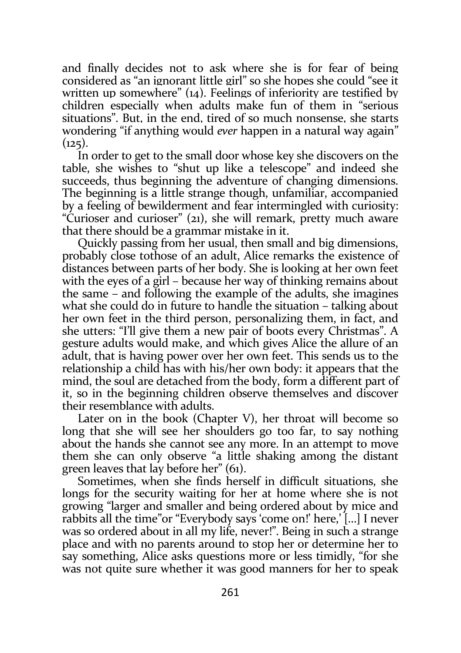and finally decides not to ask where she is for fear of being considered as "an ignorant little girl" so she hopes she could "see it written up somewhere"  $(i_4)$ . Feelings of inferiority are testified by children especially when adults make fun of them in "serious situations". But, in the end, tired of so much nonsense, she starts wondering "if anything would ever happen in a natural way again"  $(125)$ .

In order to get to the small door whose key she discovers on the table, she wishes to "shut up like a telescope" and indeed she succeeds, thus beginning the adventure of changing dimensions. The beginning is a little strange though, unfamiliar, accompanied by a feeling of bewilderment and fear intermingled with curiosity: "Curioser and curioser" (21), she will remark, pretty much aware that there should be a grammar mistake in it.

Quickly passing from her usual, then small and big dimensions, probably close tothose of an adult, Alice remarks the existence of distances between parts of her body. She is looking at her own feet with the eyes of a girl – because her way of thinking remains about the same – and following the example of the adults, she imagines what she could do in future to handle the situation – talking about her own feet in the third person, personalizing them, in fact, and she utters: "I'll give them a new pair of boots every Christmas". A gesture adults would make, and which gives Alice the allure of an adult, that is having power over her own feet. This sends us to the relationship a child has with his/her own body: it appears that the mind, the soul are detached from the body, form a different part of it, so in the beginning children observe themselves and discover their resemblance with adults.

Later on in the book (Chapter V), her throat will become so long that she will see her shoulders go too far, to say nothing about the hands she cannot see any more. In an attempt to move them she can only observe "a little shaking among the distant green leaves that lay before her" (61).

Sometimes, when she finds herself in difficult situations, she longs for the security waiting for her at home where she is not growing "larger and smaller and being ordered about by mice and rabbits all the time"or "Everybody says 'come on!' here,' […] I never was so ordered about in all my life, never!". Being in such a strange place and with no parents around to stop her or determine her to say something, Alice asks questions more or less timidly, "for she was not quite sure whether it was good manners for her to speak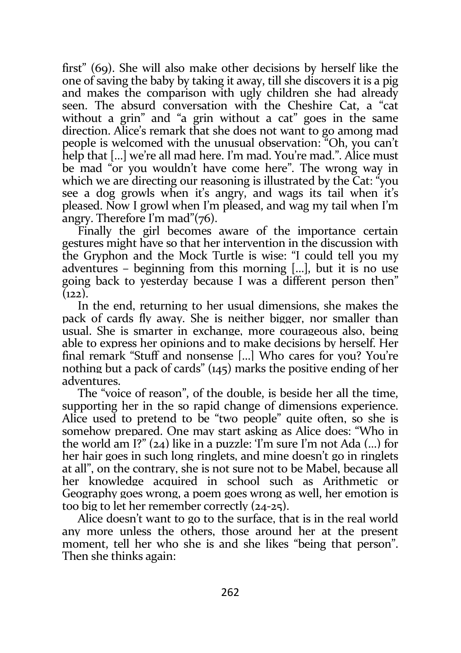first" (69). She will also make other decisions by herself like the one of saving the baby by taking it away, till she discovers it is a pig and makes the comparison with ugly children she had already seen. The absurd conversation with the Cheshire Cat, a "cat without a grin" and "a grin without a cat" goes in the same direction. Alice's remark that she does not want to go among mad people is welcomed with the unusual observation: "Oh, you can't help that […] we're all mad here. I'm mad. You're mad.". Alice must be mad "or you wouldn't have come here". The wrong way in which we are directing our reasoning is illustrated by the Cat: "you see a dog growls when it's angry, and wags its tail when it's pleased. Now I growl when I'm pleased, and wag my tail when I'm angry. Therefore I'm mad"(76).

Finally the girl becomes aware of the importance certain gestures might have so that her intervention in the discussion with the Gryphon and the Mock Turtle is wise: "I could tell you my adventures – beginning from this morning […], but it is no use going back to yesterday because I was a different person then"  $(122)$ .

In the end, returning to her usual dimensions, she makes the pack of cards fly away. She is neither bigger, nor smaller than usual. She is smarter in exchange, more courageous also, being able to express her opinions and to make decisions by herself. Her final remark "Stuff and nonsense […] Who cares for you? You're nothing but a pack of cards" (145) marks the positive ending of her adventures.

The "voice of reason", of the double, is beside her all the time, supporting her in the so rapid change of dimensions experience. Alice used to pretend to be "two people" quite often, so she is somehow prepared. One may start asking as Alice does: "Who in the world am I?" (24) like in a puzzle: 'I'm sure I'm not Ada (…) for her hair goes in such long ringlets, and mine doesn't go in ringlets at all", on the contrary, she is not sure not to be Mabel, because all her knowledge acquired in school such as Arithmetic or Geography goes wrong, a poem goes wrong as well, her emotion is too big to let her remember correctly (24-25).

Alice doesn't want to go to the surface, that is in the real world any more unless the others, those around her at the present moment, tell her who she is and she likes "being that person". Then she thinks again: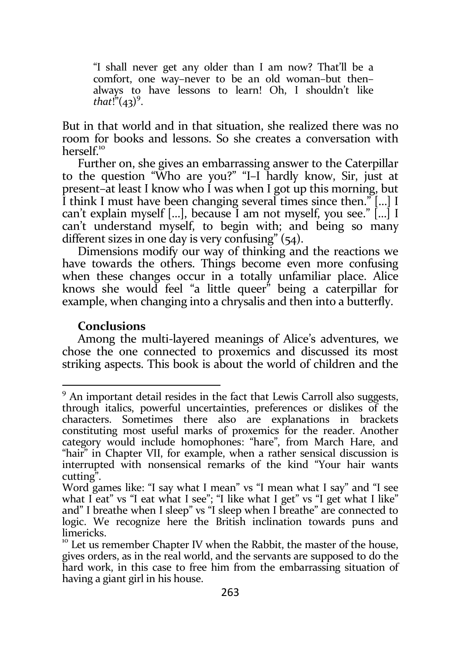"I shall never get any older than I am now? That'll be a comfort, one way–never to be an old woman–but then– always to have lessons to learn! Oh, I shouldn't like that!" $(43)^9$ .

But in that world and in that situation, she realized there was no room for books and lessons. So she creates a conversation with herself.<sup>10</sup>

Further on, she gives an embarrassing answer to the Caterpillar to the question "Who are you?" "I–I hardly know, Sir, just at present–at least I know who I was when I got up this morning, but I think I must have been changing several times since then." […] I can't explain myself […], because I am not myself, you see." […] I can't understand myself, to begin with; and being so many different sizes in one day is very confusing" (54).

Dimensions modify our way of thinking and the reactions we have towards the others. Things become even more confusing when these changes occur in a totally unfamiliar place. Alice knows she would feel "a little queer" being a caterpillar for example, when changing into a chrysalis and then into a butterfly.

#### **Conclusions**

-

Among the multi-layered meanings of Alice's adventures, we chose the one connected to proxemics and discussed its most striking aspects. This book is about the world of children and the

<sup>&</sup>lt;sup>9</sup> An important detail resides in the fact that Lewis Carroll also suggests, through italics, powerful uncertainties, preferences or dislikes of the characters. Sometimes there also are explanations in brackets constituting most useful marks of proxemics for the reader. Another category would include homophones: "hare", from March Hare, and "hair" in Chapter VII, for example, when a rather sensical discussion is interrupted with nonsensical remarks of the kind "Your hair wants cutting".

Word games like: "I say what I mean" vs "I mean what I say" and "I see what I eat" vs "I eat what I see"; "I like what I get" vs "I get what I like" and" I breathe when I sleep" vs "I sleep when I breathe" are connected to logic. We recognize here the British inclination towards puns and limericks.

 $10<sup>10</sup>$  Let us remember Chapter IV when the Rabbit, the master of the house, gives orders, as in the real world, and the servants are supposed to do the hard work, in this case to free him from the embarrassing situation of having a giant girl in his house.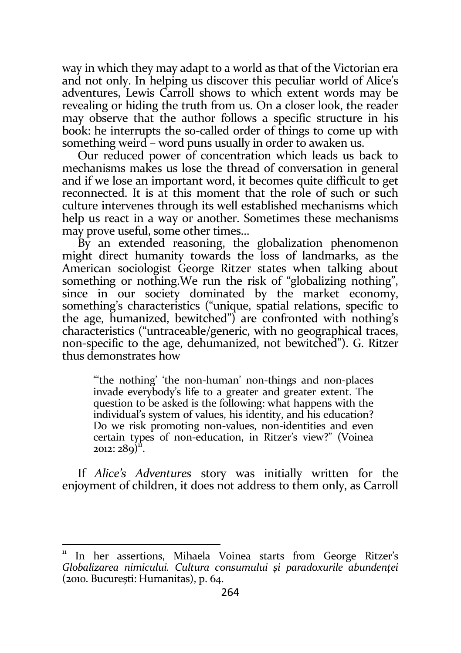way in which they may adapt to a world as that of the Victorian era and not only. In helping us discover this peculiar world of Alice's adventures, Lewis Carroll shows to which extent words may be revealing or hiding the truth from us. On a closer look, the reader may observe that the author follows a specific structure in his book: he interrupts the so-called order of things to come up with something weird – word puns usually in order to awaken us.

Our reduced power of concentration which leads us back to mechanisms makes us lose the thread of conversation in general and if we lose an important word, it becomes quite difficult to get reconnected. It is at this moment that the role of such or such culture intervenes through its well established mechanisms which help us react in a way or another. Sometimes these mechanisms may prove useful, some other times…

By an extended reasoning, the globalization phenomenon might direct humanity towards the loss of landmarks, as the American sociologist George Ritzer states when talking about something or nothing. We run the risk of "globalizing nothing", since in our society dominated by the market economy, something's characteristics ("unique, spatial relations, specific to the age, humanized, bewitched") are confronted with nothing's characteristics ("untraceable/generic, with no geographical traces, non-specific to the age, dehumanized, not bewitched"). G. Ritzer thus demonstrates how

"the nothing' 'the non-human' non-things and non-places invade everybody's life to a greater and greater extent. The question to be asked is the following: what happens with the individual's system of values, his identity, and his education? Do we risk promoting non-values, non-identities and even certain types of non-education, in Ritzer's view?" (Voinea 2012: 289)<sup>ii</sup>.

If Alice's Adventures story was initially written for the enjoyment of children, it does not address to them only, as Carroll

<sup>11</sup> In her assertions, Mihaela Voinea starts from George Ritzer's Globalizarea nimicului. Cultura consumului și paradoxurile abundenței (2010. București: Humanitas), p. 64.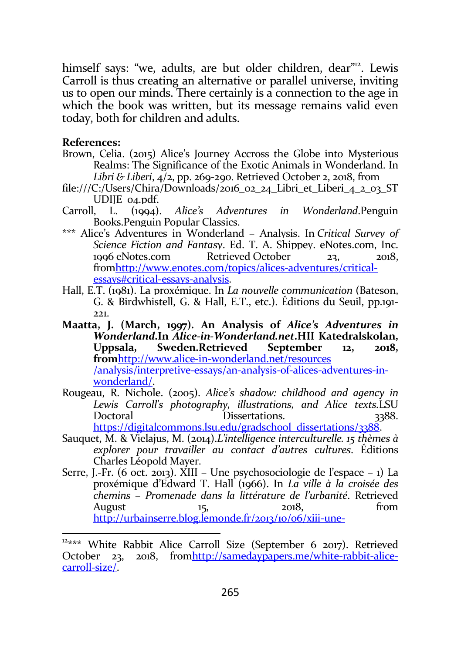himself says: "we, adults, are but older children, dear"<sup>12</sup>. Lewis Carroll is thus creating an alternative or parallel universe, inviting us to open our minds. There certainly is a connection to the age in which the book was written, but its message remains valid even today, both for children and adults.

#### References:

- Brown, Celia. (2015) Alice's Journey Accross the Globe into Mysterious Realms: The Significance of the Exotic Animals in Wonderland. In Libri & Liberi, 4/2, pp. 269-290. Retrieved October 2, 2018, from
- file:///C:/Users/Chira/Downloads/2016\_02\_24\_Libri\_et\_Liberi\_4\_2\_03\_ST UDIJE\_04.pdf.
- Carroll, L. (1994). Alice's Adventures in Wonderland.Penguin Books.Penguin Popular Classics.
- \*\*\* Alice's Adventures in Wonderland Analysis. In Critical Survey of Science Fiction and Fantasy. Ed. T. A. Shippey. eNotes.com, Inc. 1996 eNotes.com Retrieved October 23, 2018, fromhttp://www.enotes.com/topics/alices-adventures/criticalessays#critical-essays-analysis.
- Hall, E.T. (1981). La proxémique. In La nouvelle communication (Bateson, G. & Birdwhistell, G. & Hall, E.T., etc.). Éditions du Seuil, pp.191- 221.
- Maatta, J. (March, 1997). An Analysis of Alice's Adventures in Wonderland.In Alice-in-Wonderland.net.HII Katedralskolan, Uppsala, Sweden.Retrieved September 12, 2018, fromhttp://www.alice-in-wonderland.net/resources /analysis/interpretive-essays/an-analysis-of-alices-adventures-inwonderland/.
- Rougeau, R. Nichole. (2005). Alice's shadow: childhood and agency in Lewis Carroll's photography, illustrations, and Alice texts.LSU<br>Doctoral Dissertations. 3388. Doctoral Dissertations https://digitalcommons.lsu.edu/gradschool\_dissertations/3388.
- Sauquet, M. & Vielajus, M. (2014).L'intelligence interculturelle. 15 thèmes à explorer pour travailler au contact d'autres cultures. Éditions Charles Léopold Mayer.
- Serre, J.-Fr. (6 oct. 2013). XIII Une psychosociologie de l'espace 1) La proxémique d'Edward T. Hall (1966). In La ville à la croisée des chemins – Promenade dans la littérature de l'urbanité. Retrieved August  $15$ ,  $2018$ ,  $2018$ http://urbainserre.blog.lemonde.fr/2013/10/06/xiii-une-

<sup>&</sup>lt;sup>12\*\*\*</sup> White Rabbit Alice Carroll Size (September 6 2017). Retrieved October 23, 2018, fromhttp://samedaypapers.me/white-rabbit-alicecarroll-size/.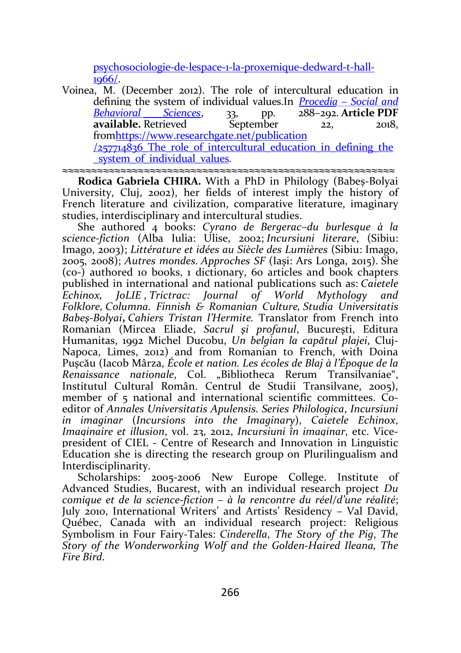psychosociologie-de-lespace-1-la-proxemique-dedward-t-hall-1966/.

Voinea, M. (December 2012). The role of intercultural education in defining the system of individual values. In  $\frac{Proceedia - Social and Behavioral} {Behavioral}$  Sciences,  $\frac{33}{128}$  pp.  $\frac{288-292}{128}$  Article PDF Behavioral Sciences, 33, pp. available. Retrieved September 22, 2018, fromhttps://www.researchgate.net/publication  $/257714836$  The role of intercultural education in defining the system of individual values.

≈≈≈≈≈≈≈≈≈≈≈≈≈≈≈≈≈≈≈≈≈≈≈≈≈≈≈≈≈≈≈≈≈≈≈≈≈≈≈≈≈≈≈≈≈≈≈≈≈≈≈≈≈≈≈≈≈

Rodica Gabriela CHIRA. With a PhD in Philology (Babeș-Bolyai University, Cluj, 2002), her fields of interest imply the history of French literature and civilization, comparative literature, imaginary studies, interdisciplinary and intercultural studies.

She authored 4 books: Cyrano de Bergerac–du burlesque à la science-fiction (Alba Iulia: Úlise, 2002; Incursiuni literare, (Sibiu: Imago, 2003); Littérature et idées au Siècle des Lumières (Sibiu: Imago, 2005, 2008); Autres mondes. Approches SF (Iași: Ars Longa, 2015). She (co-) authored 10 books, 1 dictionary, 60 articles and book chapters published in international and national publications such as: Caietele<br>Echinox. IoLIE Trictrac: Iournal of World Mythology and Echinox, JoLIE , Trictrac: Journal of World Mythology and Folklore, Columna. Finnish & Romanian Culture, Studia Universitatis Babeş-Bolyai, Cahiers Tristan l'Hermite. Translator from French into Romanian (Mircea Eliade, Sacrul şi profanul, Bucureşti, Editura Humanitas, 1992 Michel Ducobu, Un belgian la capătul plajei, Cluj-Napoca, Limes, 2012) and from Romanian to French, with Doina Puşcău (Iacob Mârza, École et nation. Les écoles de Blaj à l'Époque de la Renaissance nationale, Col. "Bibliotheca Rerum Transilvaniae", Institutul Cultural Român. Centrul de Studii Transilvane, 2005), member of 5 national and international scientific committees. Coeditor of Annales Universitatis Apulensis. Series Philologica, Incursiuni in imaginar (Incursions into the Imaginary), Caietele Echinox, Imaginaire et illusion, vol. 23, 2012, Incursiuni în imaginar, etc. Vicepresident of CIEL - Centre of Research and Innovation in Linguistic Education she is directing the research group on Plurilingualism and Interdisciplinarity.

Scholarships: 2005-2006 New Europe College. Institute of Advanced Studies, Bucarest, with an individual research project Du comique et de la science-fiction – à la rencontre du réel/d'une réalité; July 2010, International Writers' and Artists' Residency – Val David, Québec, Canada with an individual research project: Religious Symbolism in Four Fairy-Tales: Cinderella, The Story of the Pig, The Story of the Wonderworking Wolf and the Golden-Haired Ileana, The Fire Bird.